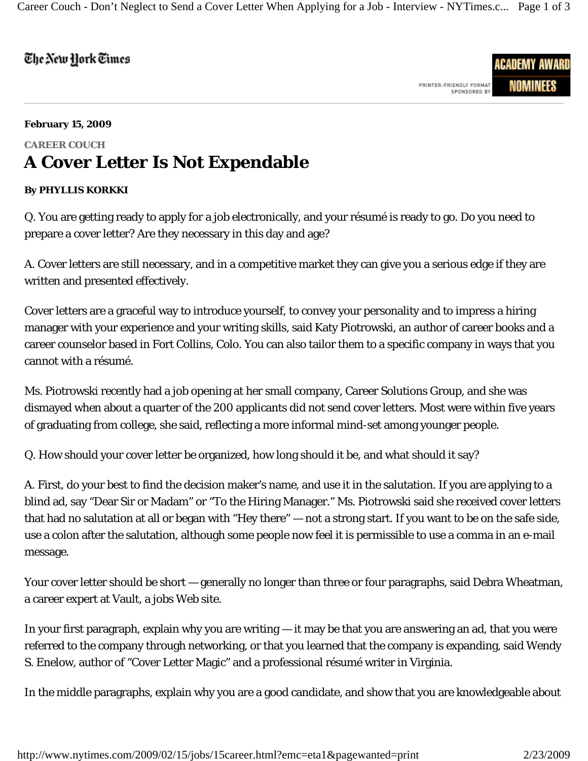Career Couch - Don't Neglect to Send a Cover Letter When Applying for a Job - Interview - NYTimes.c... Page 1 of 3

## The New Hork Times



## **February 15, 2009**

## **CAREER COUCH A Cover Letter Is Not Expendable**

## **By PHYLLIS KORKKI**

Q. You are getting ready to apply for a job electronically, and your résumé is ready to go. Do you need to prepare a cover letter? Are they necessary in this day and age?

A. Cover letters are still necessary, and in a competitive market they can give you a serious edge if they are written and presented effectively.

Cover letters are a graceful way to introduce yourself, to convey your personality and to impress a hiring manager with your experience and your writing skills, said Katy Piotrowski, an author of career books and a career counselor based in Fort Collins, Colo. You can also tailor them to a specific company in ways that you cannot with a résumé.

Ms. Piotrowski recently had a job opening at her small company, Career Solutions Group, and she was dismayed when about a quarter of the 200 applicants did not send cover letters. Most were within five years of graduating from college, she said, reflecting a more informal mind-set among younger people.

Q. How should your cover letter be organized, how long should it be, and what should it say?

A. First, do your best to find the decision maker's name, and use it in the salutation. If you are applying to a blind ad, say "Dear Sir or Madam" or "To the Hiring Manager." Ms. Piotrowski said she received cover letters that had no salutation at all or began with "Hey there" — not a strong start. If you want to be on the safe side, use a colon after the salutation, although some people now feel it is permissible to use a comma in an e-mail message.

Your cover letter should be short — generally no longer than three or four paragraphs, said Debra Wheatman, a career expert at Vault, a jobs Web site.

In your first paragraph, explain why you are writing — it may be that you are answering an ad, that you were referred to the company through networking, or that you learned that the company is expanding, said Wendy S. Enelow, author of "Cover Letter Magic" and a professional résumé writer in Virginia.

In the middle paragraphs, explain why you are a good candidate, and show that you are knowledgeable about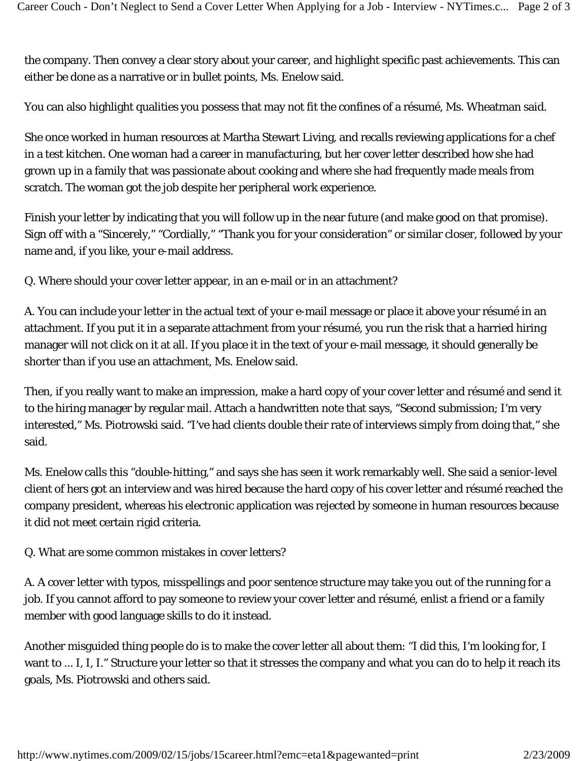the company. Then convey a clear story about your career, and highlight specific past achievements. This can either be done as a narrative or in bullet points, Ms. Enelow said.

You can also highlight qualities you possess that may not fit the confines of a résumé, Ms. Wheatman said.

She once worked in human resources at Martha Stewart Living, and recalls reviewing applications for a chef in a test kitchen. One woman had a career in manufacturing, but her cover letter described how she had grown up in a family that was passionate about cooking and where she had frequently made meals from scratch. The woman got the job despite her peripheral work experience.

Finish your letter by indicating that you will follow up in the near future (and make good on that promise). Sign off with a "Sincerely," "Cordially," "Thank you for your consideration" or similar closer, followed by your name and, if you like, your e-mail address.

Q. Where should your cover letter appear, in an e-mail or in an attachment?

A. You can include your letter in the actual text of your e-mail message or place it above your résumé in an attachment. If you put it in a separate attachment from your résumé, you run the risk that a harried hiring manager will not click on it at all. If you place it in the text of your e-mail message, it should generally be shorter than if you use an attachment, Ms. Enelow said.

Then, if you really want to make an impression, make a hard copy of your cover letter and résumé and send it to the hiring manager by regular mail. Attach a handwritten note that says, "Second submission; I'm very interested," Ms. Piotrowski said. "I've had clients double their rate of interviews simply from doing that," she said.

Ms. Enelow calls this "double-hitting," and says she has seen it work remarkably well. She said a senior-level client of hers got an interview and was hired because the hard copy of his cover letter and résumé reached the company president, whereas his electronic application was rejected by someone in human resources because it did not meet certain rigid criteria.

Q. What are some common mistakes in cover letters?

A. A cover letter with typos, misspellings and poor sentence structure may take you out of the running for a job. If you cannot afford to pay someone to review your cover letter and résumé, enlist a friend or a family member with good language skills to do it instead.

Another misguided thing people do is to make the cover letter all about them: "I did this, I'm looking for, I want to ... I, I, I." Structure your letter so that it stresses the company and what you can do to help it reach its goals, Ms. Piotrowski and others said.